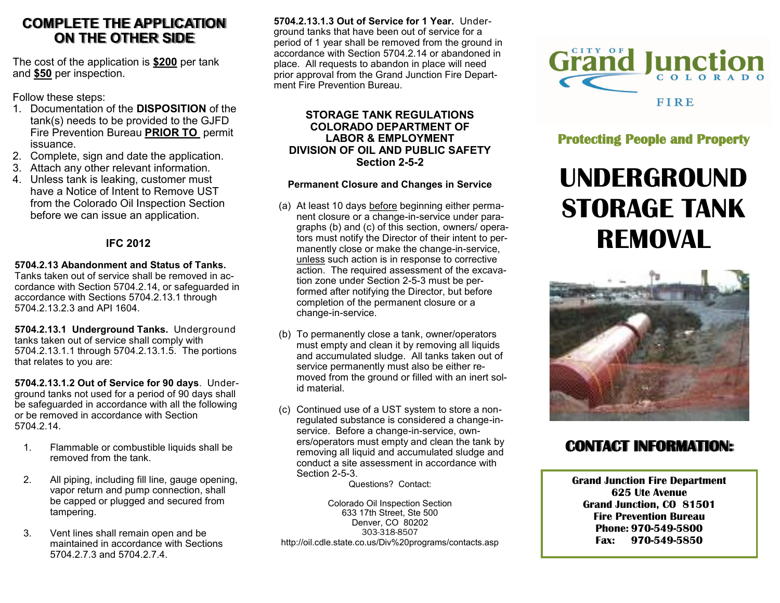## **COMPLETE THE APPLICATION ON THE OTHER SIDE**

The cost of the application is **\$200** per tank and **\$50** per inspection.

Follow these steps:

- 1. Documentation of the **DISPOSITION** of the tank(s) needs to be provided to the GJFD Fire Prevention Bureau **PRIOR TO** permit issuance.
- 2. Complete, sign and date the application.
- 3. Attach any other relevant information.
- 4. Unless tank is leaking, customer must have a Notice of Intent to Remove UST from the Colorado Oil Inspection Section before we can issue an application.

### **IFC 2012**

## **5704.2.13 Abandonment and Status of Tanks.**

Tanks taken out of service shall be removed in accordance with Section 5704.2.14, or safeguarded in accordance with Sections 5704.2.13.1 through 5704.2.13.2.3 and API 1604.

**5704.2.13.1 Underground Tanks.** Underground tanks taken out of service shall comply with 5704.2.13.1.1 through 5704.2.13.1.5. The portions that relates to you are:

**5704.2.13.1.2 Out of Service for 90 days**. Underground tanks not used for a period of 90 days shall be safeguarded in accordance with all the following or be removed in accordance with Section 5704.2.14.

- 1. Flammable or combustible liquids shall be removed from the tank.
- 2. All piping, including fill line, gauge opening, vapor return and pump connection, shall be capped or plugged and secured from tampering.
- 3. Vent lines shall remain open and be maintained in accordance with Sections 5704.2.7.3 and 5704.2.7.4.

**5704.2.13.1.3 Out of Service for 1 Year.** Underground tanks that have been out of service for a period of 1 year shall be removed from the ground in accordance with Section 5704.2.14 or abandoned in place. All requests to abandon in place will need prior approval from the Grand Junction Fire Department Fire Prevention Bureau.

#### **STORAGE TANK REGULATIONS COLORADO DEPARTMENT OF LABOR & EMPLOYMENT DIVISION OF OIL AND PUBLIC SAFETY Section 2-5-2**

#### **Permanent Closure and Changes in Service**

- (a) At least 10 days before beginning either permanent closure or a change-in-service under paragraphs (b) and (c) of this section, owners/ operators must notify the Director of their intent to permanently close or make the change-in-service, unless such action is in response to corrective action. The required assessment of the excavation zone under Section 2-5-3 must be performed after notifying the Director, but before completion of the permanent closure or a change-in-service.
- (b) To permanently close a tank, owner/operators must empty and clean it by removing all liquids and accumulated sludge. All tanks taken out of service permanently must also be either removed from the ground or filled with an inert solid material.
- (c) Continued use of a UST system to store a nonregulated substance is considered a change-inservice. Before a change-in-service, owners/operators must empty and clean the tank by removing all liquid and accumulated sludge and conduct a site assessment in accordance with Section 2-5-3.

Questions? Contact:

Colorado Oil Inspection Section 633 17th Street, Ste 500 Denver, CO 80202 303-318-8507 http://oil.cdle.state.co.us/Div%20programs/contacts.asp



**Protecting People and Property** 

# **UNDERGROUND STORAGE TANK REMOVAL**



# **CONTACT INFORMATION:**

**Grand Junction Fire Department 625 Ute Avenue Grand Junction, CO 81501 Fire Prevention Bureau Phone: 970-549-5800 Fax: 970-549-5850**